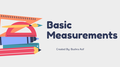

# Basic Measurements

Created By: Bushra Asif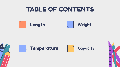## TABLE OF CONTENTS







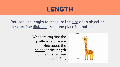## LENGTH

You can use **length** to measure the size of an object or measure the distance from one place to another.

> When we say that the giraffe is tall, we are talking about the height or the **length** of the giraffe from head to toe.

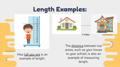# Length Examples:



How tall you are is an example of length.





3 miles

The distance between two areas, such as your house to your school, is also an example of measuring length.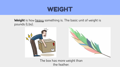## WEIGHT

Weight is how heavy something is. The basic unit of weight is pounds (Lbs).





The box has more weight than the feather.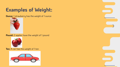#### **Examples of Weight:**

**Ounce:** 1 strawberry has the weight of 1 ounce



**Pound:** 2 apples have the weight of 1 pound



**Ton:** A car has the weight of 1 ton



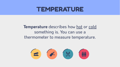#### TEMPERATURE

#### **Temperature** describes how hot or cold something is. You can use a thermometer to measure temperature.

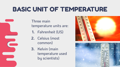# BASIC UNIT OF TEMPERATURE

Three main temperature units are:

- **1.** Fahrenheit (US)
- **2.** Celsius (most common)
- **3.** Kelvin (main temperature used by scientists)